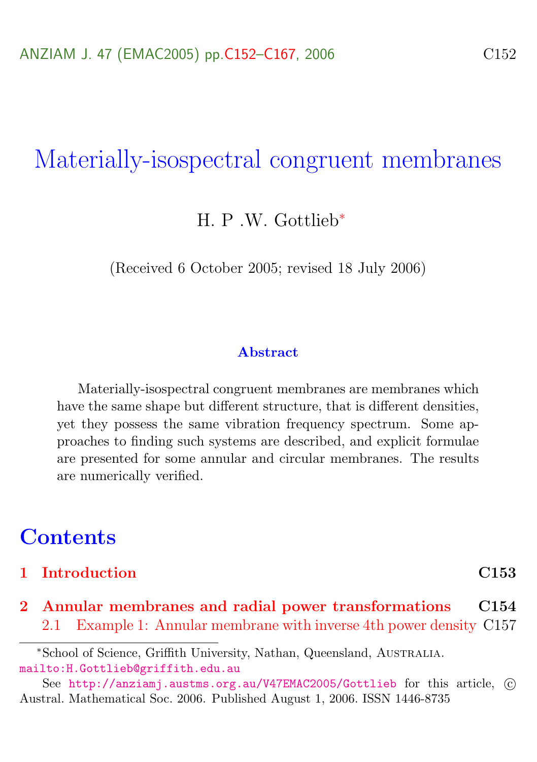# Materially-isospectral congruent membranes

H. P .W. Gottlieb<sup>∗</sup>

(Received 6 October 2005; revised 18 July 2006)

### Abstract

Materially-isospectral congruent membranes are membranes which have the same shape but different structure, that is different densities, yet they possess the same vibration frequency spectrum. Some approaches to finding such systems are described, and explicit formulae are presented for some annular and circular membranes. The results are numerically verified.

## **Contents**

### [1 Introduction](#page-1-0) C153

[2 Annular membranes and radial power transformations](#page-2-0) C154 [2.1 Example 1: Annular membrane with inverse 4th power density](#page-5-0) C157

<sup>∗</sup>School of Science, Griffith University, Nathan, Queensland, Australia. <mailto:H.Gottlieb@griffith.edu.au>

See <http://anziamj.austms.org.au/V47EMAC2005/Gottlieb> for this article,  $\odot$ Austral. Mathematical Soc. 2006. Published August 1, 2006. ISSN 1446-8735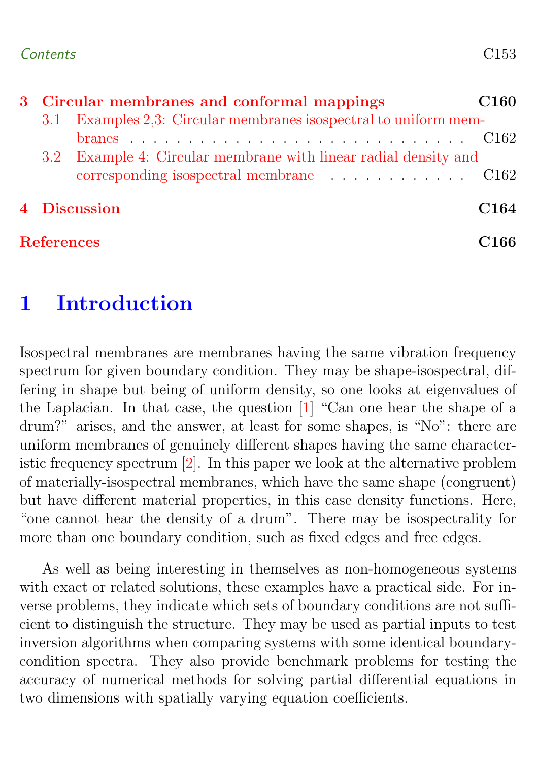### <span id="page-1-1"></span>Contents C153

| 3 Circular membranes and conformal mappings |              |                                                                       | C <sub>160</sub> |  |
|---------------------------------------------|--------------|-----------------------------------------------------------------------|------------------|--|
|                                             |              | 3.1 Examples 2,3: Circular membranes isospectral to uniform mem-      |                  |  |
|                                             |              |                                                                       |                  |  |
|                                             |              | 3.2 Example 4: Circular membrane with linear radial density and       |                  |  |
|                                             |              | corresponding isospectral membrane $\ldots \ldots \ldots \ldots$ C162 |                  |  |
|                                             | 4 Discussion |                                                                       | C <sub>164</sub> |  |
|                                             |              | <b>References</b>                                                     |                  |  |

## <span id="page-1-0"></span>1 Introduction

Isospectral membranes are membranes having the same vibration frequency spectrum for given boundary condition. They may be shape-isospectral, differing in shape but being of uniform density, so one looks at eigenvalues of the Laplacian. In that case, the question [\[1\]](#page-14-1) "Can one hear the shape of a drum?" arises, and the answer, at least for some shapes, is "No": there are uniform membranes of genuinely different shapes having the same characteristic frequency spectrum [\[2\]](#page-14-2). In this paper we look at the alternative problem of materially-isospectral membranes, which have the same shape (congruent) but have different material properties, in this case density functions. Here, "one cannot hear the density of a drum". There may be isospectrality for more than one boundary condition, such as fixed edges and free edges.

As well as being interesting in themselves as non-homogeneous systems with exact or related solutions, these examples have a practical side. For inverse problems, they indicate which sets of boundary conditions are not sufficient to distinguish the structure. They may be used as partial inputs to test inversion algorithms when comparing systems with some identical boundarycondition spectra. They also provide benchmark problems for testing the accuracy of numerical methods for solving partial differential equations in two dimensions with spatially varying equation coefficients.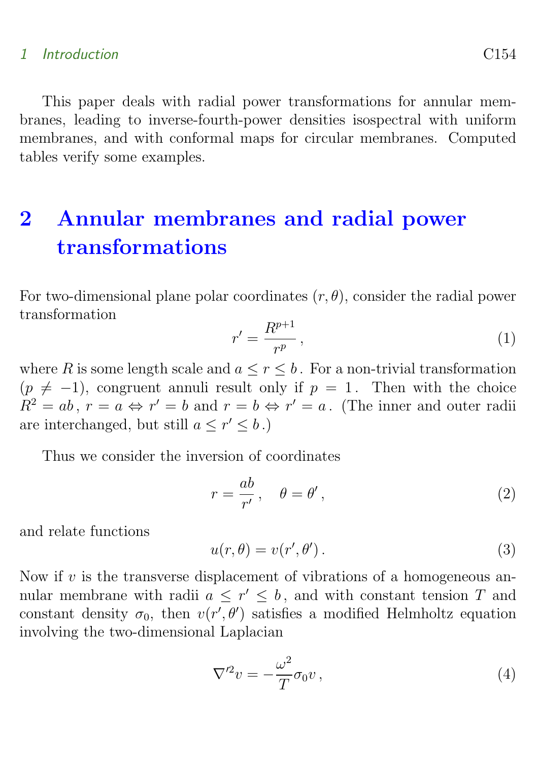### 1 Introduction C154

This paper deals with radial power transformations for annular membranes, leading to inverse-fourth-power densities isospectral with uniform membranes, and with conformal maps for circular membranes. Computed tables verify some examples.

# <span id="page-2-0"></span>2 Annular membranes and radial power transformations

For two-dimensional plane polar coordinates  $(r, \theta)$ , consider the radial power transformation

$$
r' = \frac{R^{p+1}}{r^p},\tag{1}
$$

where R is some length scale and  $a \leq r \leq b$ . For a non-trivial transformation  $(p \neq -1)$ , congruent annuli result only if  $p = 1$ . Then with the choice  $R^2 = ab, r = a \Leftrightarrow r' = b \text{ and } r = b \Leftrightarrow r' = a.$  (The inner and outer radii) are interchanged, but still  $a \leq r' \leq b$ .)

Thus we consider the inversion of coordinates

<span id="page-2-1"></span>
$$
r = \frac{ab}{r'}, \quad \theta = \theta', \tag{2}
$$

and relate functions

$$
u(r,\theta) = v(r',\theta').
$$
\n(3)

Now if  $v$  is the transverse displacement of vibrations of a homogeneous annular membrane with radii  $a \leq r' \leq b$ , and with constant tension T and constant density  $\sigma_0$ , then  $v(r', \theta')$  satisfies a modified Helmholtz equation involving the two-dimensional Laplacian

$$
\nabla^{\prime 2} v = -\frac{\omega^2}{T} \sigma_0 v \,, \tag{4}
$$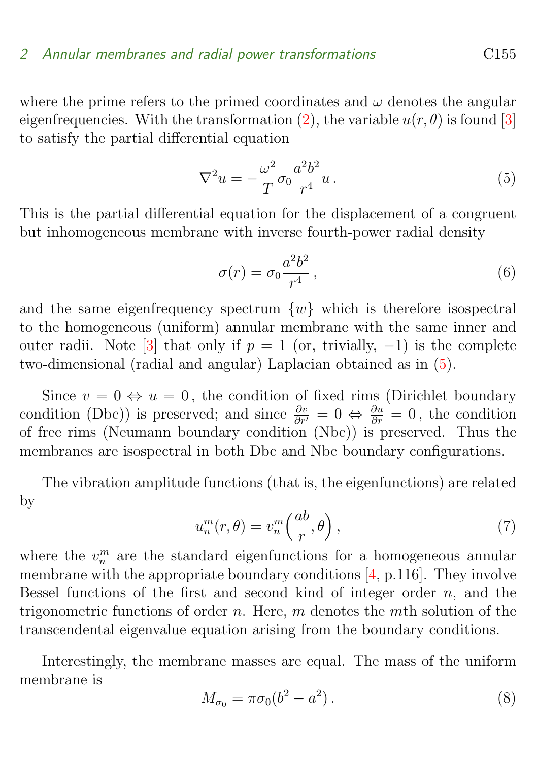<span id="page-3-2"></span>where the prime refers to the primed coordinates and  $\omega$  denotes the angular eigenfrequencies. With the transformation [\(2\)](#page-2-1), the variable  $u(r, \theta)$  is found [\[3\]](#page-14-3) to satisfy the partial differential equation

<span id="page-3-0"></span>
$$
\nabla^2 u = -\frac{\omega^2}{T} \sigma_0 \frac{a^2 b^2}{r^4} u.
$$
\n(5)

This is the partial differential equation for the displacement of a congruent but inhomogeneous membrane with inverse fourth-power radial density

<span id="page-3-1"></span>
$$
\sigma(r) = \sigma_0 \frac{a^2 b^2}{r^4},\tag{6}
$$

and the same eigenfrequency spectrum  $\{w\}$  which is therefore isospectral to the homogeneous (uniform) annular membrane with the same inner and outer radii. Note [\[3\]](#page-14-3) that only if  $p = 1$  (or, trivially, -1) is the complete two-dimensional (radial and angular) Laplacian obtained as in [\(5\)](#page-3-0).

Since  $v = 0 \Leftrightarrow u = 0$ , the condition of fixed rims (Dirichlet boundary condition (Dbc)) is preserved; and since  $\frac{\partial v}{\partial r'} = 0 \Leftrightarrow \frac{\partial u}{\partial r} = 0$ , the condition of free rims (Neumann boundary condition (Nbc)) is preserved. Thus the membranes are isospectral in both Dbc and Nbc boundary configurations.

The vibration amplitude functions (that is, the eigenfunctions) are related by

$$
u_n^m(r,\theta) = v_n^m\left(\frac{ab}{r},\theta\right),\tag{7}
$$

where the  $v_n^m$  are the standard eigenfunctions for a homogeneous annular membrane with the appropriate boundary conditions  $[4, p.116]$  $[4, p.116]$ . They involve Bessel functions of the first and second kind of integer order  $n$ , and the trigonometric functions of order n. Here, m denotes the mth solution of the transcendental eigenvalue equation arising from the boundary conditions.

Interestingly, the membrane masses are equal. The mass of the uniform membrane is

$$
M_{\sigma_0} = \pi \sigma_0 (b^2 - a^2). \tag{8}
$$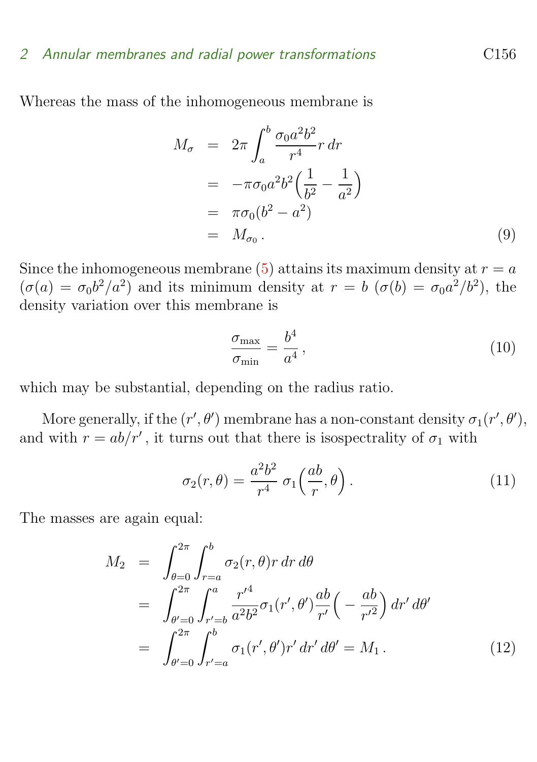### 2 Annular membranes and radial power transformations C156

Whereas the mass of the inhomogeneous membrane is

$$
M_{\sigma} = 2\pi \int_{a}^{b} \frac{\sigma_0 a^2 b^2}{r^4} r dr
$$
  
=  $-\pi \sigma_0 a^2 b^2 \left(\frac{1}{b^2} - \frac{1}{a^2}\right)$   
=  $\pi \sigma_0 (b^2 - a^2)$   
=  $M_{\sigma_0}$ . (9)

Since the inhomogeneous membrane [\(5\)](#page-3-0) attains its maximum density at  $r = a$  $(\sigma(a) = \sigma_0 b^2/a^2)$  and its minimum density at  $r = b$   $(\sigma(b) = \sigma_0 a^2/b^2)$ , the density variation over this membrane is

<span id="page-4-0"></span>
$$
\frac{\sigma_{\text{max}}}{\sigma_{\text{min}}} = \frac{b^4}{a^4},\tag{10}
$$

which may be substantial, depending on the radius ratio.

More generally, if the  $(r', \theta')$  membrane has a non-constant density  $\sigma_1(r', \theta')$ , and with  $r = ab/r'$ , it turns out that there is isospectrality of  $\sigma_1$  with

$$
\sigma_2(r,\theta) = \frac{a^2 b^2}{r^4} \sigma_1\left(\frac{ab}{r},\theta\right). \tag{11}
$$

The masses are again equal:

$$
M_2 = \int_{\theta=0}^{2\pi} \int_{r=a}^{b} \sigma_2(r,\theta) r \, dr \, d\theta
$$
  
= 
$$
\int_{\theta'=0}^{2\pi} \int_{r'=b}^{a} \frac{r'^4}{a^2 b^2} \sigma_1(r',\theta') \frac{ab}{r'} \left(-\frac{ab}{r'^2}\right) dr' \, d\theta'
$$
  
= 
$$
\int_{\theta'=0}^{2\pi} \int_{r'=a}^{b} \sigma_1(r',\theta') r' \, dr' \, d\theta' = M_1 \, . \tag{12}
$$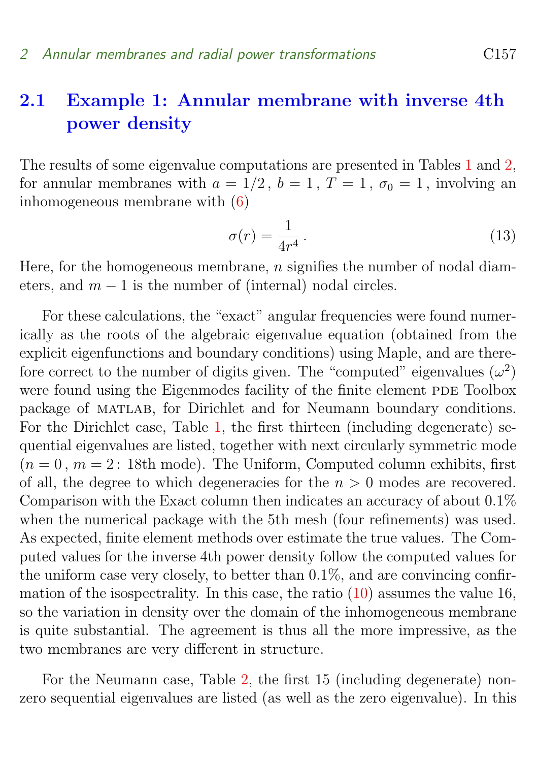### <span id="page-5-0"></span>2.1 Example 1: Annular membrane with inverse 4th power density

The results of some eigenvalue computations are presented in Tables [1](#page-6-1) and [2,](#page-7-0) for annular membranes with  $a = 1/2$ ,  $b = 1$ ,  $T = 1$ ,  $\sigma_0 = 1$ , involving an inhomogeneous membrane with [\(6\)](#page-3-1)

$$
\sigma(r) = \frac{1}{4r^4} \,. \tag{13}
$$

Here, for the homogeneous membrane,  $n$  signifies the number of nodal diameters, and  $m - 1$  is the number of (internal) nodal circles.

For these calculations, the "exact" angular frequencies were found numerically as the roots of the algebraic eigenvalue equation (obtained from the explicit eigenfunctions and boundary conditions) using Maple, and are therefore correct to the number of digits given. The "computed" eigenvalues  $(\omega^2)$ were found using the Eigenmodes facility of the finite element PDE Toolbox package of matlab, for Dirichlet and for Neumann boundary conditions. For the Dirichlet case, Table [1,](#page-6-1) the first thirteen (including degenerate) sequential eigenvalues are listed, together with next circularly symmetric mode  $(n = 0, m = 2: 18$ th mode). The Uniform, Computed column exhibits, first of all, the degree to which degeneracies for the  $n > 0$  modes are recovered. Comparison with the Exact column then indicates an accuracy of about 0.1% when the numerical package with the 5th mesh (four refinements) was used. As expected, finite element methods over estimate the true values. The Computed values for the inverse 4th power density follow the computed values for the uniform case very closely, to better than  $0.1\%$ , and are convincing confirmation of the isospectrality. In this case, the ratio  $(10)$  assumes the value 16, so the variation in density over the domain of the inhomogeneous membrane is quite substantial. The agreement is thus all the more impressive, as the two membranes are very different in structure.

For the Neumann case, Table [2,](#page-7-0) the first 15 (including degenerate) nonzero sequential eigenvalues are listed (as well as the zero eigenvalue). In this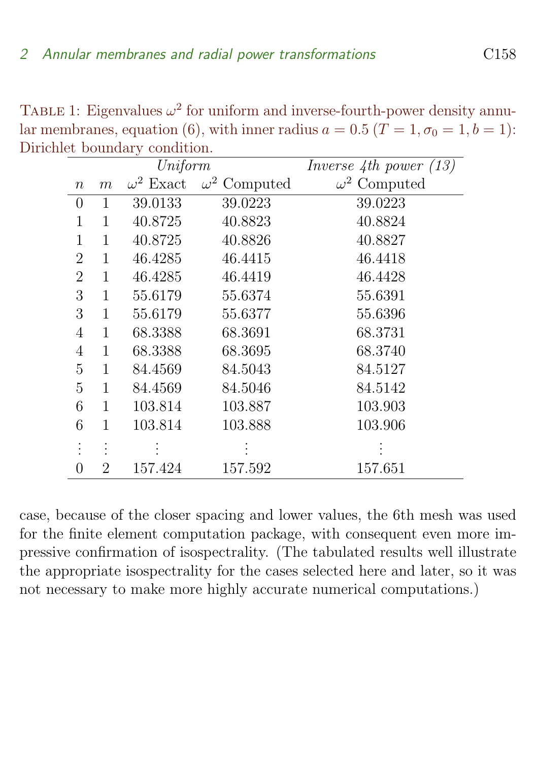| TABLE 1: Eigenvalues $\omega^2$ for uniform and inverse-fourth-power density annu-           |
|----------------------------------------------------------------------------------------------|
| lar membranes, equation (6), with inner radius $a = 0.5$ (T = 1, $\sigma_0 = 1$ , $b = 1$ ): |
| Dirichlet boundary condition.                                                                |

<span id="page-6-1"></span>

|                  |              | Uniform          |                     | Inverse $4th$ power $(13)$ |
|------------------|--------------|------------------|---------------------|----------------------------|
| $\it{n}$         | m            | $\omega^2$ Exact | $\omega^2$ Computed | $\omega^2$ Computed        |
| 0                | 1            | 39.0133          | 39.0223             | 39.0223                    |
| 1                | 1            | 40.8725          | 40.8823             | 40.8824                    |
| 1                | 1            | 40.8725          | 40.8826             | 40.8827                    |
| $\overline{2}$   | 1            | 46.4285          | 46.4415             | 46.4418                    |
| $\overline{2}$   | 1            | 46.4285          | 46.4419             | 46.4428                    |
| 3                | 1            | 55.6179          | 55.6374             | 55.6391                    |
| 3                | 1            | 55.6179          | 55.6377             | 55.6396                    |
| $\overline{4}$   | $\mathbf{1}$ | 68.3388          | 68.3691             | 68.3731                    |
| $\overline{4}$   | $\mathbf{1}$ | 68.3388          | 68.3695             | 68.3740                    |
| 5                | 1            | 84.4569          | 84.5043             | 84.5127                    |
| 5                | $\mathbf{1}$ | 84.4569          | 84.5046             | 84.5142                    |
| 6                | 1            | 103.814          | 103.887             | 103.903                    |
| 6                | 1            | 103.814          | 103.888             | 103.906                    |
|                  |              |                  |                     |                            |
| $\left( \right)$ | 2            | 157.424          | 157.592             | 157.651                    |

<span id="page-6-0"></span>case, because of the closer spacing and lower values, the 6th mesh was used for the finite element computation package, with consequent even more impressive confirmation of isospectrality. (The tabulated results well illustrate the appropriate isospectrality for the cases selected here and later, so it was not necessary to make more highly accurate numerical computations.)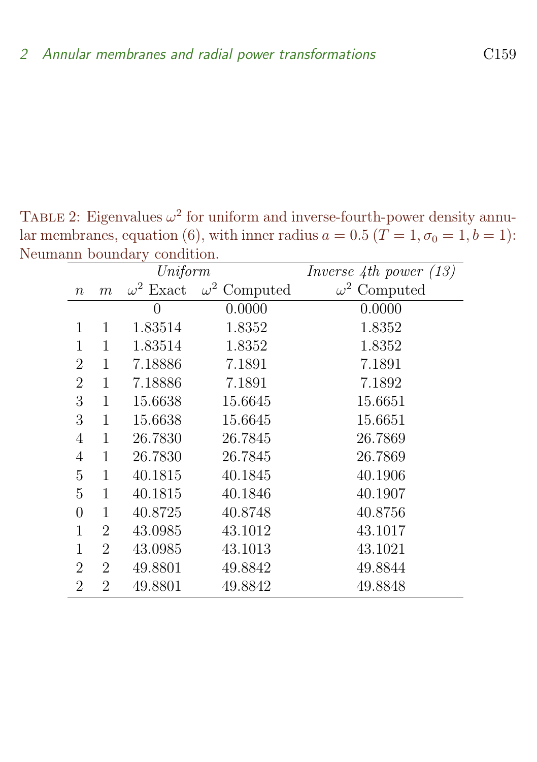TABLE 2: Eigenvalues  $\omega^2$  for uniform and inverse-fourth-power density annular membranes, equation (6), with inner radius  $a = 0.5$  ( $\overline{T} = 1, \sigma_0 = 1, b = 1$ ): Neumann boundary condition.

<span id="page-7-0"></span>

|                | Uniform        |                  |                     | Inverse 4th power $(13)$ |
|----------------|----------------|------------------|---------------------|--------------------------|
| $\, n$         | m              | $\omega^2$ Exact | $\omega^2$ Computed | $\omega^2$ Computed      |
|                |                | 0                | 0.0000              | 0.0000                   |
| 1              | 1              | 1.83514          | 1.8352              | 1.8352                   |
| 1              | 1              | 1.83514          | 1.8352              | 1.8352                   |
| $\overline{2}$ | 1              | 7.18886          | 7.1891              | 7.1891                   |
| $\overline{2}$ | 1              | 7.18886          | 7.1891              | 7.1892                   |
| 3              | $\mathbf{1}$   | 15.6638          | 15.6645             | 15.6651                  |
| 3              | 1              | 15.6638          | 15.6645             | 15.6651                  |
| $\overline{4}$ | 1              | 26.7830          | 26.7845             | 26.7869                  |
| 4              | 1              | 26.7830          | 26.7845             | 26.7869                  |
| 5              | 1              | 40.1815          | 40.1845             | 40.1906                  |
| 5              | 1              | 40.1815          | 40.1846             | 40.1907                  |
| $\overline{0}$ | 1              | 40.8725          | 40.8748             | 40.8756                  |
| 1              | 2              | 43.0985          | 43.1012             | 43.1017                  |
| 1              | 2              | 43.0985          | 43.1013             | 43.1021                  |
| $\overline{2}$ | $\overline{2}$ | 49.8801          | 49.8842             | 49.8844                  |
| $\overline{2}$ | $\overline{2}$ | 49.8801          | 49.8842             | 49.8848                  |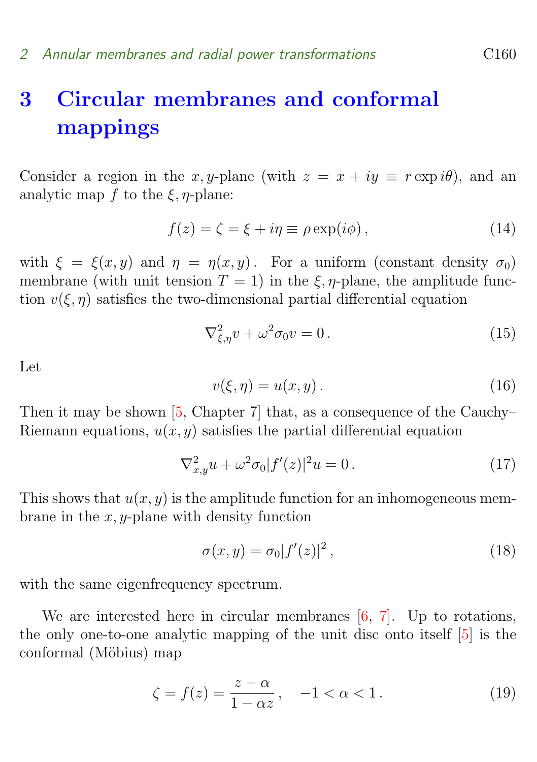# <span id="page-8-2"></span>3 Circular membranes and conformal mappings

Consider a region in the x, y-plane (with  $z = x + iy \equiv r \exp i\theta$ ), and an analytic map f to the  $\xi$ ,  $\eta$ -plane:

$$
f(z) = \zeta = \xi + i\eta \equiv \rho \exp(i\phi), \qquad (14)
$$

with  $\xi = \xi(x, y)$  and  $\eta = \eta(x, y)$ . For a uniform (constant density  $\sigma_0$ ) membrane (with unit tension  $T = 1$ ) in the  $\xi$ ,  $\eta$ -plane, the amplitude function  $v(\xi, \eta)$  satisfies the two-dimensional partial differential equation

$$
\nabla_{\xi,\eta}^2 v + \omega^2 \sigma_0 v = 0. \tag{15}
$$

Let

$$
v(\xi, \eta) = u(x, y). \tag{16}
$$

Then it may be shown [\[5,](#page-14-5) Chapter 7] that, as a consequence of the Cauchy– Riemann equations,  $u(x, y)$  satisfies the partial differential equation

$$
\nabla_{x,y}^2 u + \omega^2 \sigma_0 |f'(z)|^2 u = 0.
$$
 (17)

This shows that  $u(x, y)$  is the amplitude function for an inhomogeneous membrane in the  $x, y$ -plane with density function

<span id="page-8-1"></span>
$$
\sigma(x, y) = \sigma_0 |f'(z)|^2, \qquad (18)
$$

with the same eigenfrequency spectrum.

We are interested here in circular membranes  $[6, 7]$  $[6, 7]$  $[6, 7]$ . Up to rotations, the only one-to-one analytic mapping of the unit disc onto itself [\[5\]](#page-14-5) is the conformal (Möbius) map

<span id="page-8-0"></span>
$$
\zeta = f(z) = \frac{z - \alpha}{1 - \alpha z}, \quad -1 < \alpha < 1. \tag{19}
$$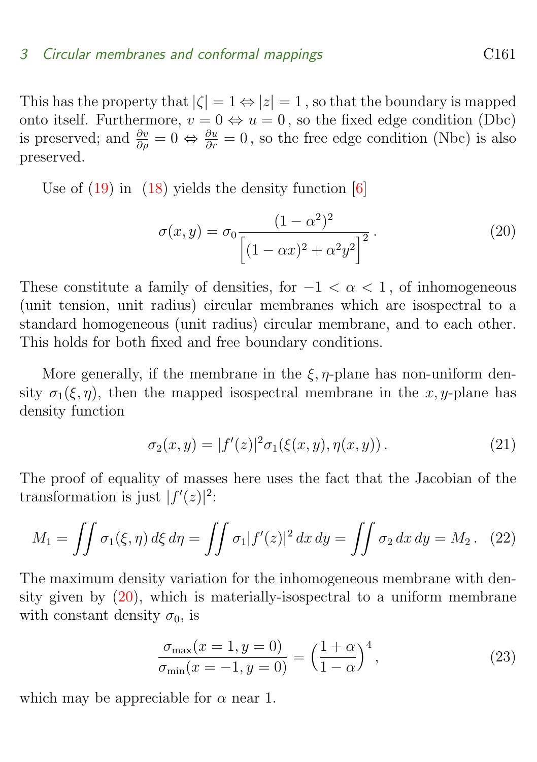### <span id="page-9-3"></span>3 Circular membranes and conformal mappings C161

This has the property that  $|\zeta| = 1 \Leftrightarrow |z| = 1$ , so that the boundary is mapped onto itself. Furthermore,  $v = 0 \Leftrightarrow u = 0$ , so the fixed edge condition (Dbc) is preserved; and  $\frac{\partial v}{\partial \rho} = 0 \Leftrightarrow \frac{\partial u}{\partial r} = 0$ , so the free edge condition (Nbc) is also preserved.

Use of  $(19)$  in  $(18)$  yields the density function  $[6]$ 

<span id="page-9-0"></span>
$$
\sigma(x,y) = \sigma_0 \frac{(1-\alpha^2)^2}{\left[ (1-\alpha x)^2 + \alpha^2 y^2 \right]^2}.
$$
\n(20)

These constitute a family of densities, for  $-1 < \alpha < 1$ , of inhomogeneous (unit tension, unit radius) circular membranes which are isospectral to a standard homogeneous (unit radius) circular membrane, and to each other. This holds for both fixed and free boundary conditions.

More generally, if the membrane in the  $\xi$ ,  $\eta$ -plane has non-uniform density  $\sigma_1(\xi, \eta)$ , then the mapped isospectral membrane in the x, y-plane has density function

<span id="page-9-2"></span>
$$
\sigma_2(x, y) = |f'(z)|^2 \sigma_1(\xi(x, y), \eta(x, y)). \tag{21}
$$

The proof of equality of masses here uses the fact that the Jacobian of the transformation is just  $|f'(z)|^2$ :

$$
M_1 = \iint \sigma_1(\xi, \eta) d\xi d\eta = \iint \sigma_1 |f'(z)|^2 dx dy = \iint \sigma_2 dx dy = M_2.
$$
 (22)

The maximum density variation for the inhomogeneous membrane with density given by [\(20\)](#page-9-0), which is materially-isospectral to a uniform membrane with constant density  $\sigma_0$ , is

<span id="page-9-1"></span>
$$
\frac{\sigma_{\max}(x=1, y=0)}{\sigma_{\min}(x=-1, y=0)} = \left(\frac{1+\alpha}{1-\alpha}\right)^4,
$$
\n(23)

which may be appreciable for  $\alpha$  near 1.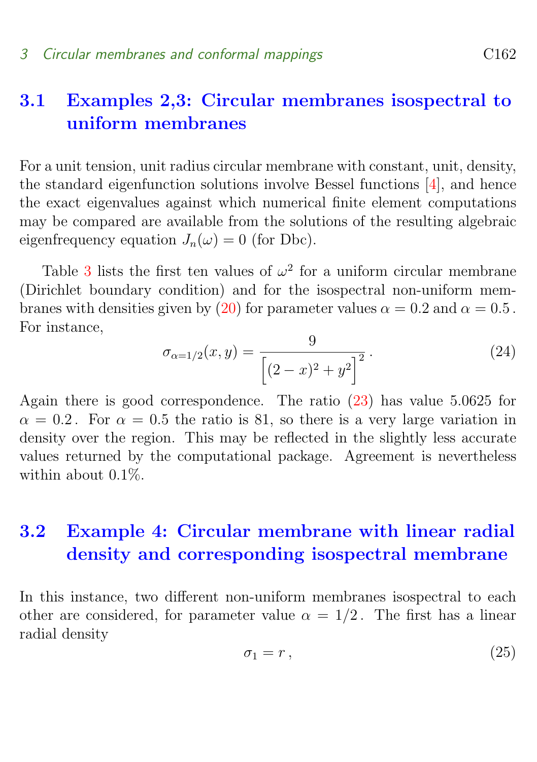### <span id="page-10-3"></span><span id="page-10-0"></span>3.1 Examples 2,3: Circular membranes isospectral to uniform membranes

For a unit tension, unit radius circular membrane with constant, unit, density, the standard eigenfunction solutions involve Bessel functions [\[4\]](#page-14-4), and hence the exact eigenvalues against which numerical finite element computations may be compared are available from the solutions of the resulting algebraic eigenfrequency equation  $J_n(\omega) = 0$  (for Dbc).

Table [3](#page-11-0) lists the first ten values of  $\omega^2$  for a uniform circular membrane (Dirichlet boundary condition) and for the isospectral non-uniform mem-branes with densities given by [\(20\)](#page-9-0) for parameter values  $\alpha = 0.2$  and  $\alpha = 0.5$ . For instance,

$$
\sigma_{\alpha=1/2}(x,y) = \frac{9}{\left[ (2-x)^2 + y^2 \right]^2}.
$$
\n(24)

Again there is good correspondence. The ratio [\(23\)](#page-9-1) has value 5.0625 for  $\alpha = 0.2$ . For  $\alpha = 0.5$  the ratio is 81, so there is a very large variation in density over the region. This may be reflected in the slightly less accurate values returned by the computational package. Agreement is nevertheless within about 0.1%

## <span id="page-10-1"></span>3.2 Example 4: Circular membrane with linear radial density and corresponding isospectral membrane

<span id="page-10-2"></span>In this instance, two different non-uniform membranes isospectral to each other are considered, for parameter value  $\alpha = 1/2$ . The first has a linear radial density

$$
\sigma_1 = r \,, \tag{25}
$$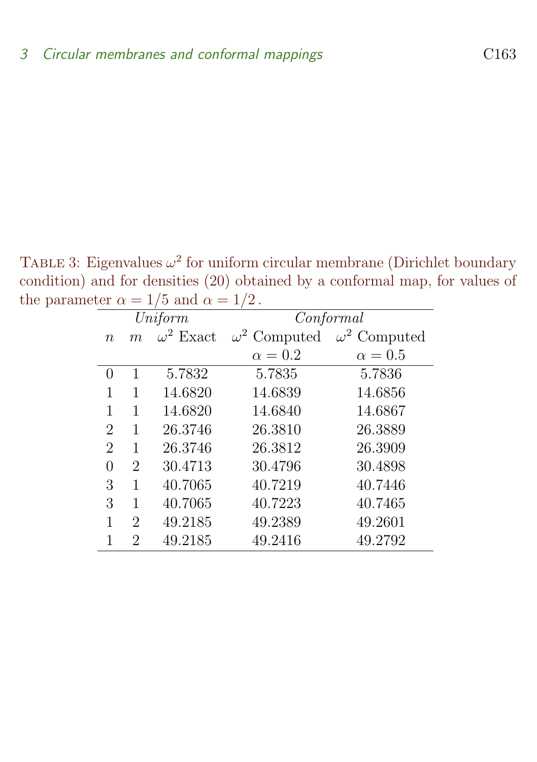TABLE 3: Eigenvalues  $\omega^2$  for uniform circular membrane (Dirichlet boundary condition) and for densities (20) obtained by a conformal map, for values of the parameter  $\alpha = 1/5$  and  $\alpha = 1/2$ .

<span id="page-11-0"></span>

|                | Uniform        |                  | Conformal           |                     |  |
|----------------|----------------|------------------|---------------------|---------------------|--|
| $\, n$         | m              | $\omega^2$ Exact | $\omega^2$ Computed | $\omega^2$ Computed |  |
|                |                |                  | $\alpha=0.2$        | $\alpha = 0.5$      |  |
| 0              | 1              | 5.7832           | 5.7835              | 5.7836              |  |
| 1              | 1              | 14.6820          | 14.6839             | 14.6856             |  |
| 1              | 1              | 14.6820          | 14.6840             | 14.6867             |  |
| $\overline{2}$ | 1              | 26.3746          | 26.3810             | 26.3889             |  |
| $\overline{2}$ | 1              | 26.3746          | 26.3812             | 26.3909             |  |
| 0              | $\overline{2}$ | 30.4713          | 30.4796             | 30.4898             |  |
| 3              | 1              | 40.7065          | 40.7219             | 40.7446             |  |
| 3              | 1              | 40.7065          | 40.7223             | 40.7465             |  |
| 1              | $\overline{2}$ | 49.2185          | 49.2389             | 49.2601             |  |
| 1              | 2              | 49.2185          | 49.2416             | 49.2792             |  |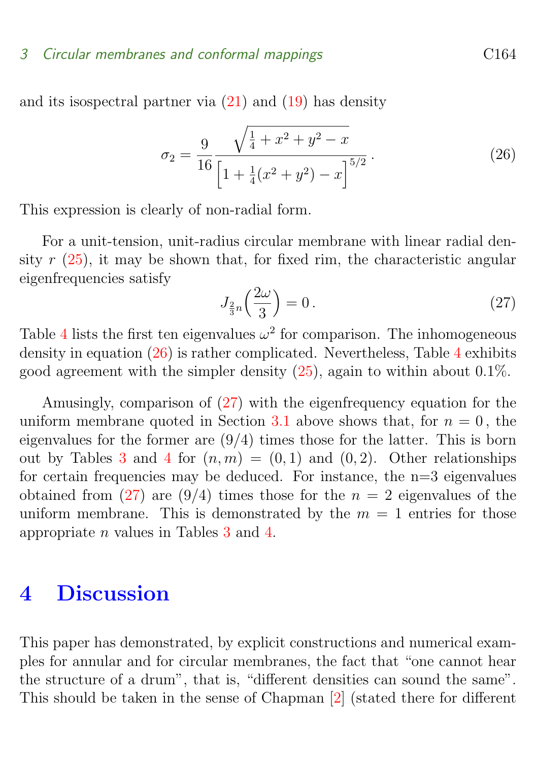### <span id="page-12-3"></span>3 Circular membranes and conformal mappings Circular C164

and its isospectral partner via [\(21\)](#page-9-2) and [\(19\)](#page-8-0) has density

<span id="page-12-1"></span>
$$
\sigma_2 = \frac{9}{16} \frac{\sqrt{\frac{1}{4} + x^2 + y^2 - x}}{\left[1 + \frac{1}{4}(x^2 + y^2) - x\right]^{5/2}}.
$$
\n(26)

This expression is clearly of non-radial form.

For a unit-tension, unit-radius circular membrane with linear radial density  $r(25)$  $r(25)$ , it may be shown that, for fixed rim, the characteristic angular eigenfrequencies satisfy

<span id="page-12-2"></span>
$$
J_{\frac{2}{3}n}\left(\frac{2\omega}{3}\right) = 0\,. \tag{27}
$$

Table [4](#page-13-0) lists the first ten eigenvalues  $\omega^2$  for comparison. The inhomogeneous density in equation  $(26)$  is rather complicated. Nevertheless, Table [4](#page-13-0) exhibits good agreement with the simpler density  $(25)$ , again to within about 0.1%.

Amusingly, comparison of [\(27\)](#page-12-2) with the eigenfrequency equation for the uniform membrane quoted in Section [3.1](#page-10-0) above shows that, for  $n = 0$ , the eigenvalues for the former are  $(9/4)$  times those for the latter. This is born out by Tables [3](#page-11-0) and [4](#page-13-0) for  $(n, m) = (0, 1)$  and  $(0, 2)$ . Other relationships for certain frequencies may be deduced. For instance, the  $n=3$  eigenvalues obtained from [\(27\)](#page-12-2) are (9/4) times those for the  $n = 2$  eigenvalues of the uniform membrane. This is demonstrated by the  $m = 1$  entries for those appropriate n values in Tables [3](#page-11-0) and [4.](#page-13-0)

## <span id="page-12-0"></span>4 Discussion

This paper has demonstrated, by explicit constructions and numerical examples for annular and for circular membranes, the fact that "one cannot hear the structure of a drum", that is, "different densities can sound the same". This should be taken in the sense of Chapman [\[2\]](#page-14-2) (stated there for different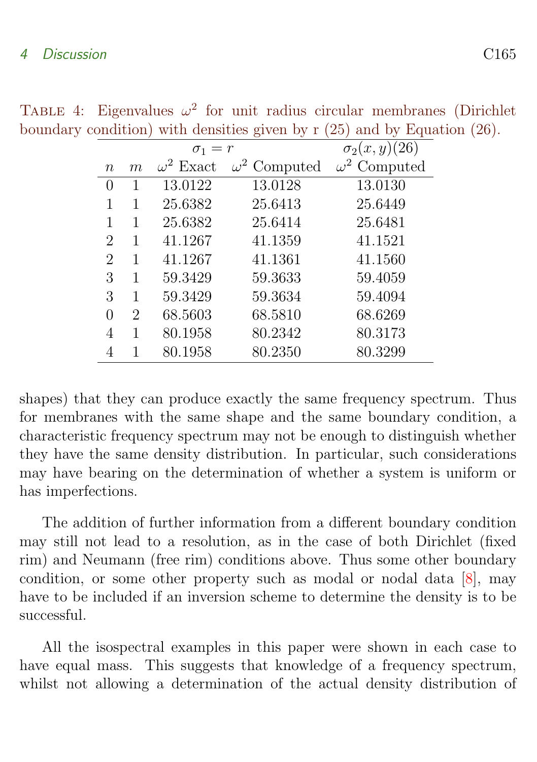### <span id="page-13-1"></span>4 Discussion C165

<span id="page-13-0"></span>

|                             |   | $\sigma_1 = r$   | $\sigma_2(x,y)(26)$ |                     |
|-----------------------------|---|------------------|---------------------|---------------------|
| $\, n$                      | m | $\omega^2$ Exact | $\omega^2$ Computed | $\omega^2$ Computed |
| $\left( \right)$            | 1 | 13.0122          | 13.0128             | 13.0130             |
| 1                           | 1 | 25.6382          | 25.6413             | 25.6449             |
| 1                           | 1 | 25.6382          | 25.6414             | 25.6481             |
| $\mathcal{D}_{\mathcal{L}}$ | 1 | 41.1267          | 41.1359             | 41.1521             |
| 2                           | 1 | 41.1267          | 41.1361             | 41.1560             |
| 3                           | 1 | 59.3429          | 59.3633             | 59.4059             |
| 3                           | 1 | 59.3429          | 59.3634             | 59.4094             |
| 0                           | 2 | 68.5603          | 68.5810             | 68.6269             |
|                             | 1 | 80.1958          | 80.2342             | 80.3173             |
|                             | 1 | 80.1958          | 80.2350             | 80.3299             |

TABLE 4: Eigenvalues  $\omega^2$  for unit radius circular membranes (Dirichlet boundary condition) with densities given by r (25) and by Equation (26).

shapes) that they can produce exactly the same frequency spectrum. Thus for membranes with the same shape and the same boundary condition, a characteristic frequency spectrum may not be enough to distinguish whether they have the same density distribution. In particular, such considerations may have bearing on the determination of whether a system is uniform or has imperfections.

The addition of further information from a different boundary condition may still not lead to a resolution, as in the case of both Dirichlet (fixed rim) and Neumann (free rim) conditions above. Thus some other boundary condition, or some other property such as modal or nodal data [\[8\]](#page-15-2), may have to be included if an inversion scheme to determine the density is to be successful.

All the isospectral examples in this paper were shown in each case to have equal mass. This suggests that knowledge of a frequency spectrum, whilst not allowing a determination of the actual density distribution of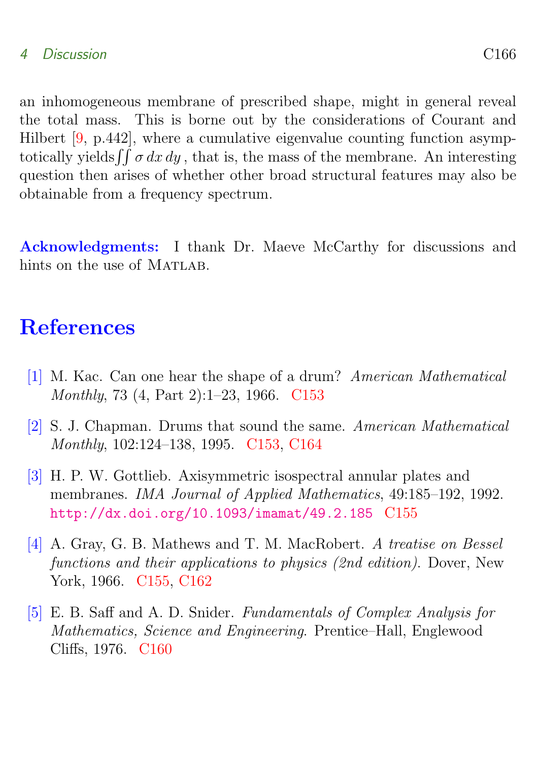### <span id="page-14-6"></span>4 Discussion C166

an inhomogeneous membrane of prescribed shape, might in general reveal the total mass. This is borne out by the considerations of Courant and Hilbert [\[9,](#page-15-3) p.442], where a cumulative eigenvalue counting function asymptotically yields  $\iint \sigma dx dy$ , that is, the mass of the membrane. An interesting question then arises of whether other broad structural features may also be obtainable from a frequency spectrum.

Acknowledgments: I thank Dr. Maeve McCarthy for discussions and hints on the use of MATLAB.

## **References**

- <span id="page-14-1"></span><span id="page-14-0"></span>[1] M. Kac. Can one hear the shape of a drum? American Mathematical Monthly, 73 (4, Part 2):1–23, 1966. [C153](#page-1-1)
- <span id="page-14-2"></span>[2] S. J. Chapman. Drums that sound the same. American Mathematical Monthly, 102:124–138, 1995. [C153,](#page-1-1) [C164](#page-12-3)
- <span id="page-14-3"></span>[3] H. P. W. Gottlieb. Axisymmetric isospectral annular plates and membranes. IMA Journal of Applied Mathematics, 49:185–192, 1992. <http://dx.doi.org/10.1093/imamat/49.2.185> [C155](#page-3-2)
- <span id="page-14-4"></span>[4] A. Gray, G. B. Mathews and T. M. MacRobert. A treatise on Bessel functions and their applications to physics (2nd edition). Dover, New York, 1966. [C155,](#page-3-2) [C162](#page-10-3)
- <span id="page-14-5"></span>[5] E. B. Saff and A. D. Snider. Fundamentals of Complex Analysis for Mathematics, Science and Engineering. Prentice–Hall, Englewood Cliffs, 1976. [C160](#page-8-2)